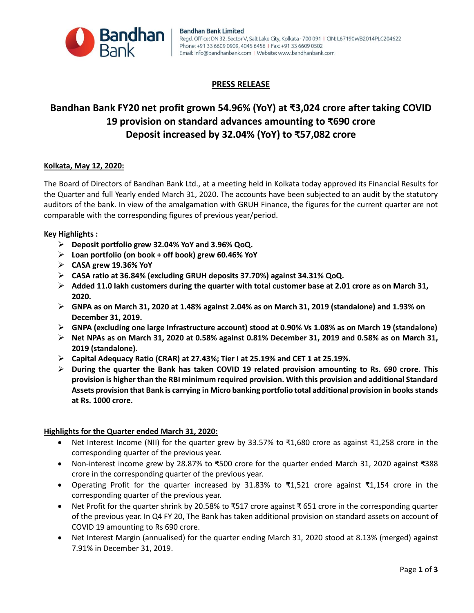

## **PRESS RELEASE**

# **Bandhan Bank FY20 net profit grown 54.96% (YoY) at ₹3,024 crore after taking COVID 19 provision on standard advances amounting to ₹690 crore Deposit increased by 32.04% (YoY) to ₹57,082 crore**

### **Kolkata, May 12, 2020:**

The Board of Directors of Bandhan Bank Ltd., at a meeting held in Kolkata today approved its Financial Results for the Quarter and full Yearly ended March 31, 2020. The accounts have been subjected to an audit by the statutory auditors of the bank. In view of the amalgamation with GRUH Finance, the figures for the current quarter are not comparable with the corresponding figures of previous year/period.

### **Key Highlights :**

- **Deposit portfolio grew 32.04% YoY and 3.96% QoQ.**
- **Loan portfolio (on book + off book) grew 60.46% YoY**
- **CASA grew 19.36% YoY**
- **CASA ratio at 36.84% (excluding GRUH deposits 37.70%) against 34.31% QoQ.**
- **Added 11.0 lakh customers during the quarter with total customer base at 2.01 crore as on March 31, 2020.**
- **GNPA as on March 31, 2020 at 1.48% against 2.04% as on March 31, 2019 (standalone) and 1.93% on December 31, 2019.**
- **GNPA (excluding one large Infrastructure account) stood at 0.90% Vs 1.08% as on March 19 (standalone)**
- **Net NPAs as on March 31, 2020 at 0.58% against 0.81% December 31, 2019 and 0.58% as on March 31, 2019 (standalone).**
- **Capital Adequacy Ratio (CRAR) at 27.43%; Tier I at 25.19% and CET 1 at 25.19%.**
- **During the quarter the Bank has taken COVID 19 related provision amounting to Rs. 690 crore. This provision is higher than the RBI minimum required provision. With this provision and additional Standard Assets provision that Bank is carrying in Micro banking portfolio total additional provision in books stands at Rs. 1000 crore.**

### **Highlights for the Quarter ended March 31, 2020:**

- Net Interest Income (NII) for the quarter grew by 33.57% to ₹1,680 crore as against ₹1,258 crore in the corresponding quarter of the previous year.
- Non-interest income grew by 28.87% to ₹500 crore for the quarter ended March 31, 2020 against ₹388 crore in the corresponding quarter of the previous year.
- Operating Profit for the quarter increased by 31.83% to ₹1,521 crore against ₹1,154 crore in the corresponding quarter of the previous year.
- Net Profit for the quarter shrink by 20.58% to ₹517 crore against ₹ 651 crore in the corresponding quarter of the previous year. In Q4 FY 20, The Bank has taken additional provision on standard assets on account of COVID 19 amounting to Rs 690 crore.
- Net Interest Margin (annualised) for the quarter ending March 31, 2020 stood at 8.13% (merged) against 7.91% in December 31, 2019.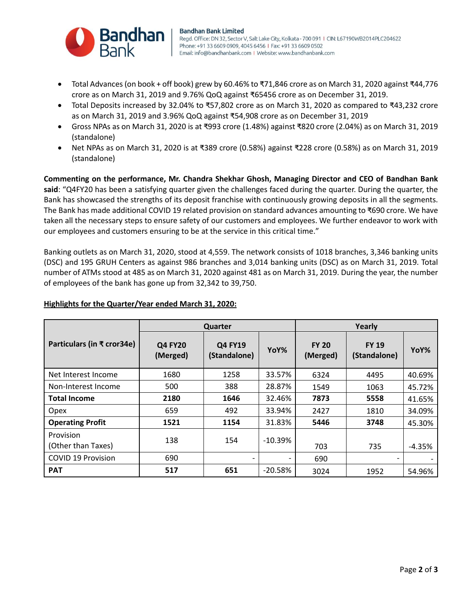

- Total Advances (on book + off book) grew by 60.46% to ₹71,846 crore as on March 31, 2020 against ₹44,776 crore as on March 31, 2019 and 9.76% QoQ against ₹65456 crore as on December 31, 2019.
- Total Deposits increased by 32.04% to ₹57,802 crore as on March 31, 2020 as compared to ₹43,232 crore as on March 31, 2019 and 3.96% QoQ against ₹54,908 crore as on December 31, 2019
- Gross NPAs as on March 31, 2020 is at ₹993 crore (1.48%) against ₹820 crore (2.04%) as on March 31, 2019 (standalone)
- Net NPAs as on March 31, 2020 is at ₹389 crore (0.58%) against ₹228 crore (0.58%) as on March 31, 2019 (standalone)

**Commenting on the performance, Mr. Chandra Shekhar Ghosh, Managing Director and CEO of Bandhan Bank said**: "Q4FY20 has been a satisfying quarter given the challenges faced during the quarter. During the quarter, the Bank has showcased the strengths of its deposit franchise with continuously growing deposits in all the segments. The Bank has made additional COVID 19 related provision on standard advances amounting to ₹690 crore. We have taken all the necessary steps to ensure safety of our customers and employees. We further endeavor to work with our employees and customers ensuring to be at the service in this critical time."

Banking outlets as on March 31, 2020, stood at 4,559. The network consists of 1018 branches, 3,346 banking units (DSC) and 195 GRUH Centers as against 986 branches and 3,014 banking units (DSC) as on March 31, 2019. Total number of ATMs stood at 485 as on March 31, 2020 against 481 as on March 31, 2019. During the year, the number of employees of the bank has gone up from 32,342 to 39,750.

|                                 | <b>Quarter</b>             |                                |           | Yearly                   |                              |          |
|---------------------------------|----------------------------|--------------------------------|-----------|--------------------------|------------------------------|----------|
| Particulars (in ₹ cror34e)      | <b>Q4 FY20</b><br>(Merged) | <b>Q4 FY19</b><br>(Standalone) | YoY%      | <b>FY 20</b><br>(Merged) | <b>FY 19</b><br>(Standalone) | YoY%     |
| Net Interest Income             | 1680                       | 1258                           | 33.57%    | 6324                     | 4495                         | 40.69%   |
| Non-Interest Income             | 500                        | 388                            | 28.87%    | 1549                     | 1063                         | 45.72%   |
| <b>Total Income</b>             | 2180                       | 1646                           | 32.46%    | 7873                     | 5558                         | 41.65%   |
| <b>Opex</b>                     | 659                        | 492                            | 33.94%    | 2427                     | 1810                         | 34.09%   |
| <b>Operating Profit</b>         | 1521                       | 1154                           | 31.83%    | 5446                     | 3748                         | 45.30%   |
| Provision<br>(Other than Taxes) | 138                        | 154                            | $-10.39%$ | 703                      | 735                          | $-4.35%$ |
| <b>COVID 19 Provision</b>       | 690                        |                                |           | 690                      | $\overline{\phantom{0}}$     |          |
| <b>PAT</b>                      | 517                        | 651                            | $-20.58%$ | 3024                     | 1952                         | 54.96%   |

### **Highlights for the Quarter/Year ended March 31, 2020:**